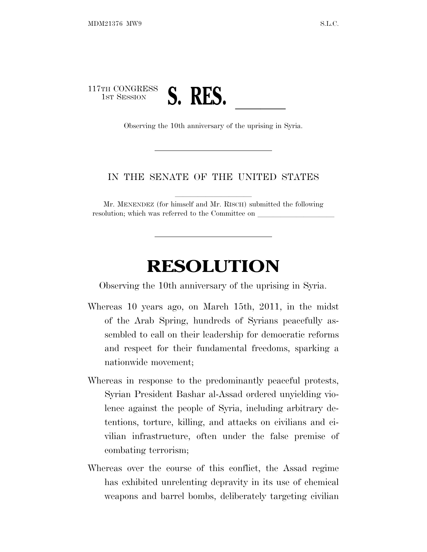

## IN THE SENATE OF THE UNITED STATES

Mr. MENENDEZ (for himself and Mr. RISCH) submitted the following resolution; which was referred to the Committee on

## **RESOLUTION**

Observing the 10th anniversary of the uprising in Syria.

- Whereas 10 years ago, on March 15th, 2011, in the midst of the Arab Spring, hundreds of Syrians peacefully assembled to call on their leadership for democratic reforms and respect for their fundamental freedoms, sparking a nationwide movement;
- Whereas in response to the predominantly peaceful protests, Syrian President Bashar al-Assad ordered unyielding violence against the people of Syria, including arbitrary detentions, torture, killing, and attacks on civilians and civilian infrastructure, often under the false premise of combating terrorism;
- Whereas over the course of this conflict, the Assad regime has exhibited unrelenting depravity in its use of chemical weapons and barrel bombs, deliberately targeting civilian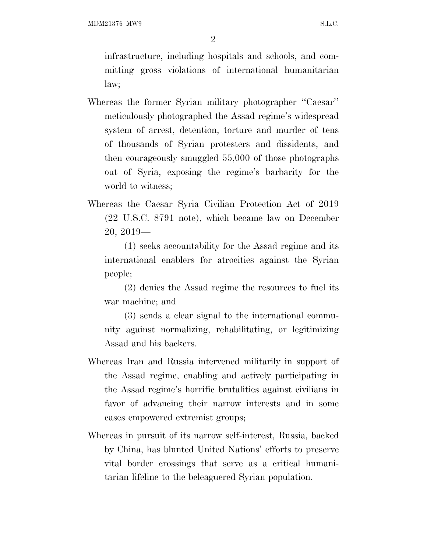MDM21376 MW9 S.L.C.

2

infrastructure, including hospitals and schools, and committing gross violations of international humanitarian law;

- Whereas the former Syrian military photographer ''Caesar'' meticulously photographed the Assad regime's widespread system of arrest, detention, torture and murder of tens of thousands of Syrian protesters and dissidents, and then courageously smuggled 55,000 of those photographs out of Syria, exposing the regime's barbarity for the world to witness;
- Whereas the Caesar Syria Civilian Protection Act of 2019 (22 U.S.C. 8791 note), which became law on December 20, 2019—

(1) seeks accountability for the Assad regime and its international enablers for atrocities against the Syrian people;

(2) denies the Assad regime the resources to fuel its war machine; and

(3) sends a clear signal to the international community against normalizing, rehabilitating, or legitimizing Assad and his backers.

- Whereas Iran and Russia intervened militarily in support of the Assad regime, enabling and actively participating in the Assad regime's horrific brutalities against civilians in favor of advancing their narrow interests and in some cases empowered extremist groups;
- Whereas in pursuit of its narrow self-interest, Russia, backed by China, has blunted United Nations' efforts to preserve vital border crossings that serve as a critical humanitarian lifeline to the beleaguered Syrian population.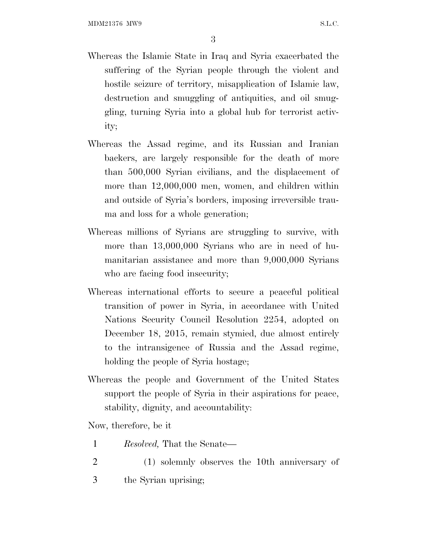3

- Whereas the Islamic State in Iraq and Syria exacerbated the suffering of the Syrian people through the violent and hostile seizure of territory, misapplication of Islamic law, destruction and smuggling of antiquities, and oil smuggling, turning Syria into a global hub for terrorist activity;
- Whereas the Assad regime, and its Russian and Iranian backers, are largely responsible for the death of more than 500,000 Syrian civilians, and the displacement of more than 12,000,000 men, women, and children within and outside of Syria's borders, imposing irreversible trauma and loss for a whole generation;
- Whereas millions of Syrians are struggling to survive, with more than  $13,000,000$  Syrians who are in need of humanitarian assistance and more than 9,000,000 Syrians who are facing food insecurity;
- Whereas international efforts to secure a peaceful political transition of power in Syria, in accordance with United Nations Security Council Resolution 2254, adopted on December 18, 2015, remain stymied, due almost entirely to the intransigence of Russia and the Assad regime, holding the people of Syria hostage;
- Whereas the people and Government of the United States support the people of Syria in their aspirations for peace, stability, dignity, and accountability:

Now, therefore, be it

- 1 *Resolved,* That the Senate—
- 2 (1) solemnly observes the 10th anniversary of 3 the Syrian uprising;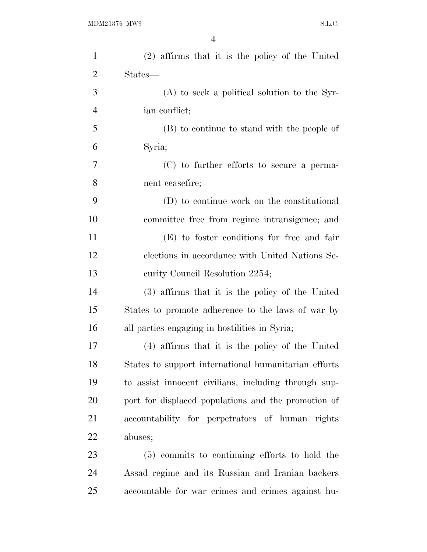| $\mathbf{1}$   | (2) affirms that it is the policy of the United      |
|----------------|------------------------------------------------------|
| $\overline{2}$ | States—                                              |
| 3              | $(A)$ to seek a political solution to the Syr-       |
| $\overline{4}$ | ian conflict;                                        |
| 5              | (B) to continue to stand with the people of          |
| 6              | Syria;                                               |
| 7              | (C) to further efforts to secure a perma-            |
| 8              | nent ceasefire;                                      |
| 9              | (D) to continue work on the constitutional           |
| 10             | committee free from regime intransigence; and        |
| 11             | (E) to foster conditions for free and fair           |
| 12             | elections in accordance with United Nations Se-      |
| 13             | curity Council Resolution 2254;                      |
| 14             | (3) affirms that it is the policy of the United      |
| 15             | States to promote adherence to the laws of war by    |
| 16             | all parties engaging in hostilities in Syria;        |
| 17             | (4) affirms that it is the policy of the United      |
| 18             | States to support international humanitarian efforts |
| 19             | to assist innocent civilians, including through sup- |
| 20             | port for displaced populations and the promotion of  |
| 21             | accountability for perpetrators of human rights      |
| 22             | abuses;                                              |
| 23             | (5) commits to continuing efforts to hold the        |
| 24             | Assad regime and its Russian and Iranian backers     |
| 25             | accountable for war crimes and crimes against hu-    |